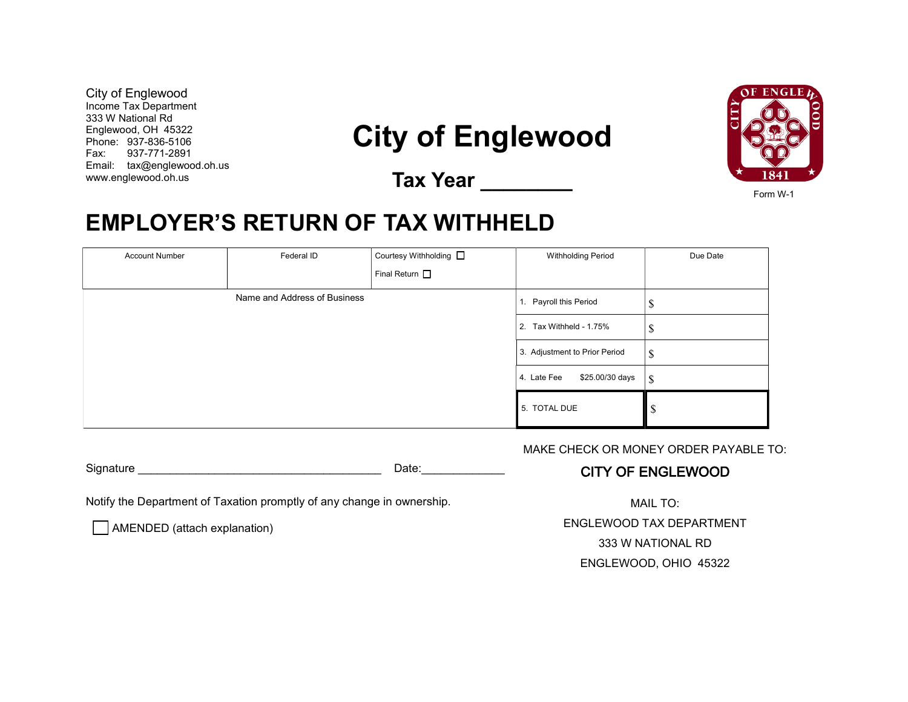City of Englewood Income Tax Department 333 W National Rd Englewood, OH 45322 Phone: 937-836-5106 Fax: 937-771-2891 Email: tax@englewood.oh.us www.englewood.oh.us

## **City of Englewood**

**Tax Year \_\_\_\_\_\_\_\_**



Form W-1

## **EMPLOYER'S RETURN OF TAX WITHHELD**

| <b>Account Number</b>        | Federal ID | Courtesy Withholding □ | <b>Withholding Period</b>      | Due Date |
|------------------------------|------------|------------------------|--------------------------------|----------|
|                              |            | Final Return $\Box$    |                                |          |
| Name and Address of Business |            |                        | 1. Payroll this Period         | ₼<br>Φ   |
|                              |            |                        | 2. Tax Withheld - 1.75%        | D        |
|                              |            |                        | 3. Adjustment to Prior Period  | \$       |
|                              |            |                        | \$25.00/30 days<br>4. Late Fee | \$       |
|                              |            |                        | 5. TOTAL DUE                   | D        |

MAKE CHECK OR MONEY ORDER PAYABLE TO:

## CITY OF ENGLEWOOD

Notify the Department of Taxation promptly of any change in ownership.

Signature **Example 2.2 Signature**  $\Box$ 

AMENDED (attach explanation)

MAIL TO:

ENGLEWOOD TAX DEPARTMENT 333 W NATIONAL RD

ENGLEWOOD, OHIO 45322